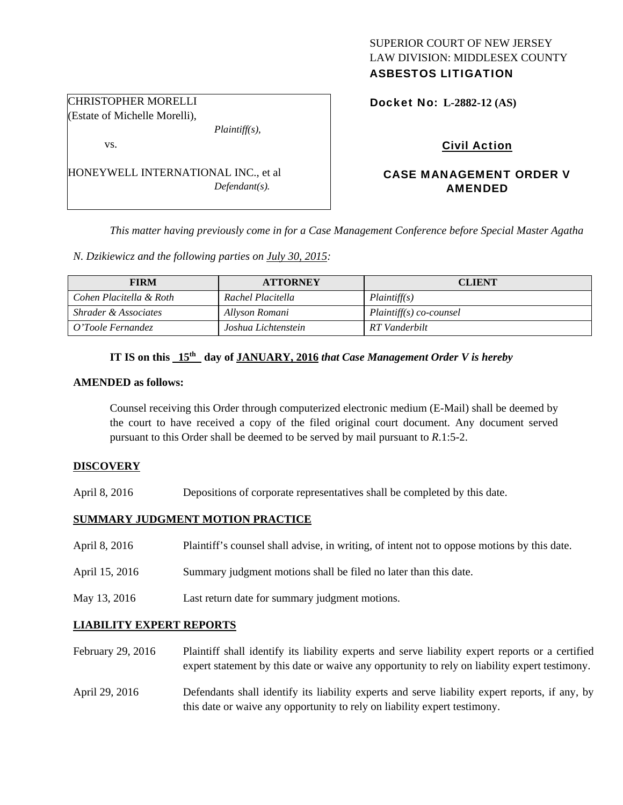# SUPERIOR COURT OF NEW JERSEY LAW DIVISION: MIDDLESEX COUNTY

# ASBESTOS LITIGATION

Docket No: **L-2882-12 (AS)** 

# Civil Action

# CASE MANAGEMENT ORDER V AMENDED

*This matter having previously come in for a Case Management Conference before Special Master Agatha* 

*N. Dzikiewicz and the following parties on July 30, 2015:* 

| <b>FIRM</b>                     | <b>ATTORNEY</b>     | <b>CLIENT</b>             |
|---------------------------------|---------------------|---------------------------|
| Cohen Placitella & Roth         | Rachel Placitella   | Plaintiff(s)              |
| <i>Shrader &amp; Associates</i> | Allyson Romani      | $Plaintiff(s) co-coursel$ |
| O'Toole Fernandez               | Joshua Lichtenstein | RT Vanderbilt             |

# IT IS on this  $15<sup>th</sup>$  day of JANUARY, 2016 *that Case Management Order V is hereby*

#### **AMENDED as follows:**

Counsel receiving this Order through computerized electronic medium (E-Mail) shall be deemed by the court to have received a copy of the filed original court document. Any document served pursuant to this Order shall be deemed to be served by mail pursuant to *R*.1:5-2.

#### **DISCOVERY**

April 8, 2016 Depositions of corporate representatives shall be completed by this date.

## **SUMMARY JUDGMENT MOTION PRACTICE**

- April 8, 2016 Plaintiff's counsel shall advise, in writing, of intent not to oppose motions by this date.
- April 15, 2016 Summary judgment motions shall be filed no later than this date.
- May 13, 2016 Last return date for summary judgment motions.

## **LIABILITY EXPERT REPORTS**

- February 29, 2016 Plaintiff shall identify its liability experts and serve liability expert reports or a certified expert statement by this date or waive any opportunity to rely on liability expert testimony.
- April 29, 2016 Defendants shall identify its liability experts and serve liability expert reports, if any, by this date or waive any opportunity to rely on liability expert testimony.

(Estate of Michelle Morelli), *Plaintiff(s),*  vs.

CHRISTOPHER MORELLI

| HONEYWELL INTERNATIONAL INC., et al |                  |
|-------------------------------------|------------------|
|                                     | $Defendant(s)$ . |